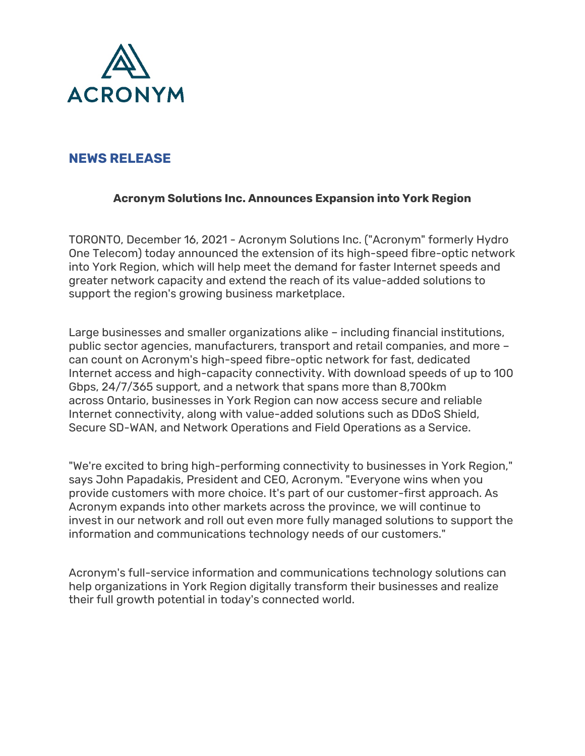

## **NEWS RELEASE**

## **Acronym Solutions Inc. Announces Expansion into York Region**

TORONTO, December 16, 2021 - Acronym Solutions Inc. ("Acronym" formerly Hydro One Telecom) today announced the extension of its high-speed fibre-optic network into York Region, which will help meet the demand for faster Internet speeds and greater network capacity and extend the reach of its value-added solutions to support the region's growing business marketplace.

Large businesses and smaller organizations alike – including financial institutions, public sector agencies, manufacturers, transport and retail companies, and more – can count on Acronym's high-speed fibre-optic network for fast, dedicated Internet access and high-capacity connectivity. With download speeds of up to 100 Gbps, 24/7/365 support, and a network that spans more than 8,700km across Ontario, businesses in York Region can now access secure and reliable Internet connectivity, along with value-added solutions such as DDoS Shield, Secure SD-WAN, and Network Operations and Field Operations as a Service.

"We're excited to bring high-performing connectivity to businesses in York Region," says John Papadakis, President and CEO, Acronym. "Everyone wins when you provide customers with more choice. It's part of our customer-first approach. As Acronym expands into other markets across the province, we will continue to invest in our network and roll out even more fully managed solutions to support the information and communications technology needs of our customers."

Acronym's full-service information and communications technology solutions can help organizations in York Region digitally transform their businesses and realize their full growth potential in today's connected world.